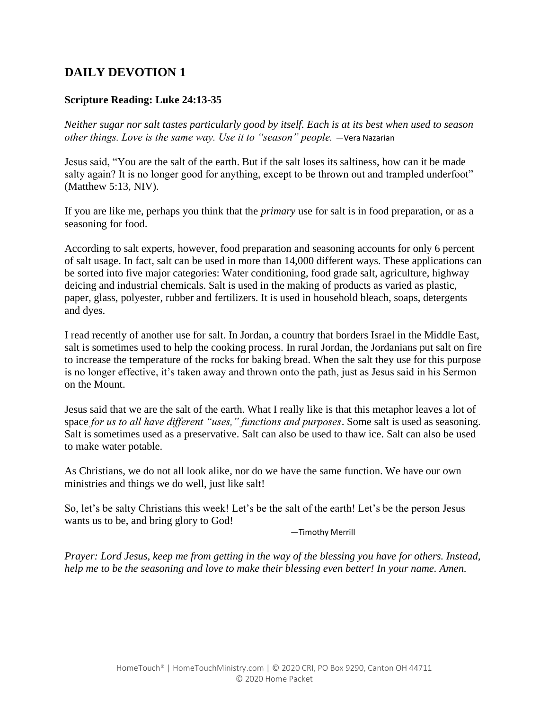#### **Scripture Reading: Luke 24:13-35**

*Neither sugar nor salt tastes particularly good by itself. Each is at its best when used to season other things. Love is the same way. Use it to "season" people.* —Vera Nazarian

Jesus said, "You are the salt of the earth. But if the salt loses its saltiness, how can it be made salty again? It is no longer good for anything, except to be thrown out and trampled underfoot" (Matthew 5:13, NIV).

If you are like me, perhaps you think that the *primary* use for salt is in food preparation, or as a seasoning for food.

According to salt experts, however, food preparation and seasoning accounts for only 6 percent of salt usage. In fact, salt can be used in more than 14,000 different ways. These applications can be sorted into five major categories: Water conditioning, food grade salt, agriculture, highway deicing and industrial chemicals. Salt is used in the making of products as varied as plastic, paper, glass, polyester, rubber and fertilizers. It is used in household bleach, soaps, detergents and dyes.

I read recently of another use for salt. In Jordan, a country that borders Israel in the Middle East, salt is sometimes used to help the cooking process. In rural Jordan, the Jordanians put salt on fire to increase the temperature of the rocks for baking bread. When the salt they use for this purpose is no longer effective, it's taken away and thrown onto the path, just as Jesus said in his Sermon on the Mount.

Jesus said that we are the salt of the earth. What I really like is that this metaphor leaves a lot of space *for us to all have different "uses," functions and purposes*. Some salt is used as seasoning. Salt is sometimes used as a preservative. Salt can also be used to thaw ice. Salt can also be used to make water potable.

As Christians, we do not all look alike, nor do we have the same function. We have our own ministries and things we do well, just like salt!

So, let's be salty Christians this week! Let's be the salt of the earth! Let's be the person Jesus wants us to be, and bring glory to God!

—Timothy Merrill

*Prayer: Lord Jesus, keep me from getting in the way of the blessing you have for others. Instead, help me to be the seasoning and love to make their blessing even better! In your name. Amen.*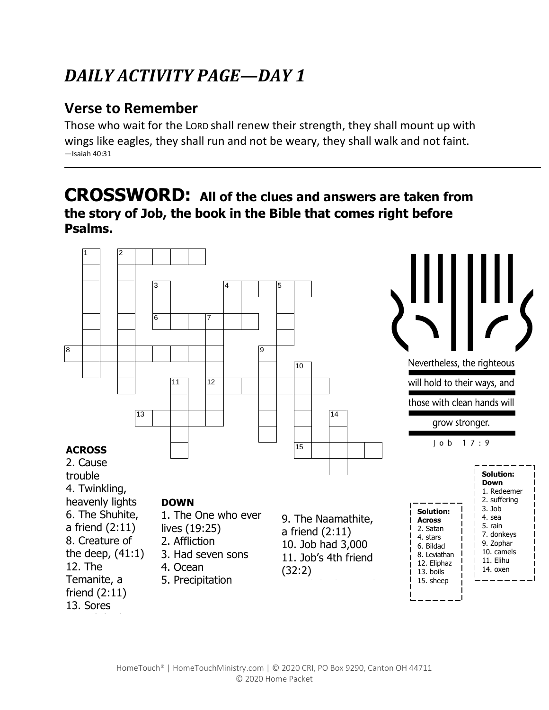## **Verse to Remember**

Those who wait for the LORD shall renew their strength, they shall mount up with wings like eagles, they shall run and not be weary, they shall walk and not faint. —Isaiah 40:31

## **CROSSWORD: All of the clues and answers are taken from the story of Job, the book in the Bible that comes right before Psalms.**

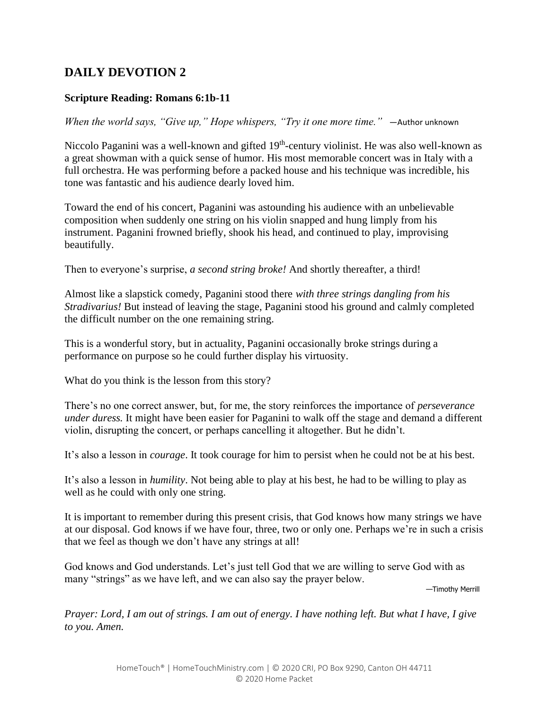#### **Scripture Reading: Romans 6:1b-11**

*When the world says, "Give up," Hope whispers, "Try it one more time."* —Author unknown

Niccolo Paganini was a well-known and gifted 19<sup>th</sup>-century violinist. He was also well-known as a great showman with a quick sense of humor. His most memorable concert was in Italy with a full orchestra. He was performing before a packed house and his technique was incredible, his tone was fantastic and his audience dearly loved him.

Toward the end of his concert, Paganini was astounding his audience with an unbelievable composition when suddenly one string on his violin snapped and hung limply from his instrument. Paganini frowned briefly, shook his head, and continued to play, improvising beautifully.

Then to everyone's surprise, *a second string broke!* And shortly thereafter, a third!

Almost like a slapstick comedy, Paganini stood there *with three strings dangling from his Stradivarius!* But instead of leaving the stage, Paganini stood his ground and calmly completed the difficult number on the one remaining string.

This is a wonderful story, but in actuality, Paganini occasionally broke strings during a performance on purpose so he could further display his virtuosity.

What do you think is the lesson from this story?

There's no one correct answer, but, for me, the story reinforces the importance of *perseverance under duress.* It might have been easier for Paganini to walk off the stage and demand a different violin, disrupting the concert, or perhaps cancelling it altogether. But he didn't.

It's also a lesson in *courage*. It took courage for him to persist when he could not be at his best.

It's also a lesson in *humility*. Not being able to play at his best, he had to be willing to play as well as he could with only one string.

It is important to remember during this present crisis, that God knows how many strings we have at our disposal. God knows if we have four, three, two or only one. Perhaps we're in such a crisis that we feel as though we don't have any strings at all!

God knows and God understands. Let's just tell God that we are willing to serve God with as many "strings" as we have left, and we can also say the prayer below.

—Timothy Merrill

*Prayer: Lord, I am out of strings. I am out of energy. I have nothing left. But what I have, I give to you. Amen.*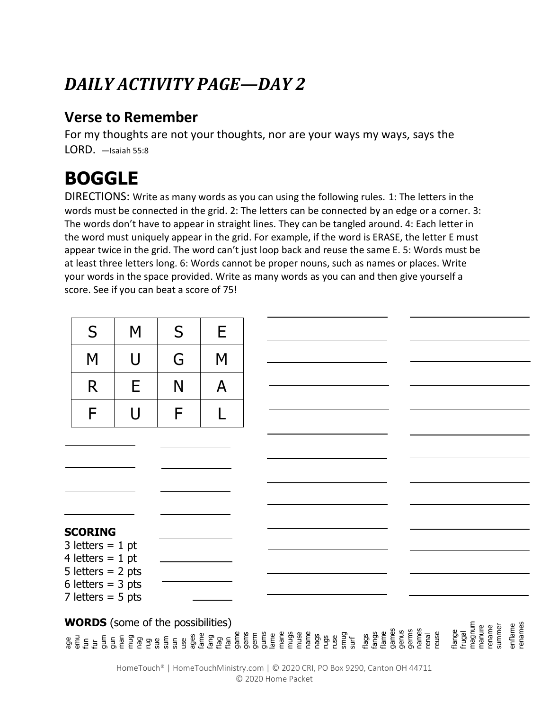## **Verse to Remember**

For my thoughts are not your thoughts, nor are your ways my ways, says the LORD. —Isaiah 55:8

# **BOGGLE**

DIRECTIONS: Write as many words as you can using the following rules. 1: The letters in the words must be connected in the grid. 2: The letters can be connected by an edge or a corner. 3: The words don't have to appear in straight lines. They can be tangled around. 4: Each letter in the word must uniquely appear in the grid. For example, if the word is ERASE, the letter E must appear twice in the grid. The word can't just loop back and reuse the same E. 5: Words must be at least three letters long. 6: Words cannot be proper nouns, such as names or places. Write your words in the space provided. Write as many words as you can and then give yourself a score. See if you can beat a score of 75!

| M                   | S                                                                | E |  |
|---------------------|------------------------------------------------------------------|---|--|
| U                   | G                                                                | M |  |
| E                   | N                                                                | A |  |
| $\mathsf{U}$        | F                                                                |   |  |
|                     |                                                                  |   |  |
|                     |                                                                  |   |  |
|                     |                                                                  |   |  |
|                     |                                                                  |   |  |
| <b>SCORING</b>      |                                                                  |   |  |
| 4 letters = $1$ pt  |                                                                  |   |  |
| 6 letters = $3$ pts |                                                                  |   |  |
|                     | 3 letters = $1$ pt<br>5 letters = $2$ pts<br>7 letters = $5$ pts |   |  |

#### age emu fun fur gum gun man mug nag rug sue sum sun use ages fame fang flag flan game gems germ gums lame mane mugs muse name nags rugs ruse smug surf flags fangs flame games genus germs names renal reuse flange frugal magnum manure rename summer 11 pts enflame renames **WORDS** (some of the possibilities)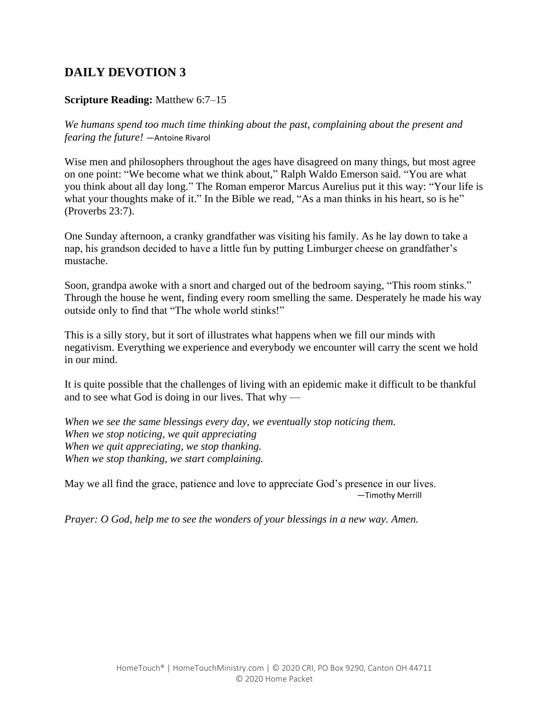#### **Scripture Reading:** Matthew 6:7–15

*We humans spend too much time thinking about the past, complaining about the present and fearing the future!* ―Antoine Rivarol

Wise men and philosophers throughout the ages have disagreed on many things, but most agree on one point: "We become what we think about," Ralph Waldo Emerson said. "You are what you think about all day long." The Roman emperor Marcus Aurelius put it this way: "Your life is what your thoughts make of it." In the Bible we read, "As a man thinks in his heart, so is he" (Proverbs 23:7).

One Sunday afternoon, a cranky grandfather was visiting his family. As he lay down to take a nap, his grandson decided to have a little fun by putting Limburger cheese on grandfather's mustache.

Soon, grandpa awoke with a snort and charged out of the bedroom saying, "This room stinks." Through the house he went, finding every room smelling the same. Desperately he made his way outside only to find that "The whole world stinks!"

This is a silly story, but it sort of illustrates what happens when we fill our minds with negativism. Everything we experience and everybody we encounter will carry the scent we hold in our mind.

It is quite possible that the challenges of living with an epidemic make it difficult to be thankful and to see what God is doing in our lives. That why —

*When we see the same blessings every day, we eventually stop noticing them. When we stop noticing, we quit appreciating When we quit appreciating, we stop thanking. When we stop thanking, we start complaining.*

May we all find the grace, patience and love to appreciate God's presence in our lives. —Timothy Merrill

*Prayer: O God, help me to see the wonders of your blessings in a new way. Amen.*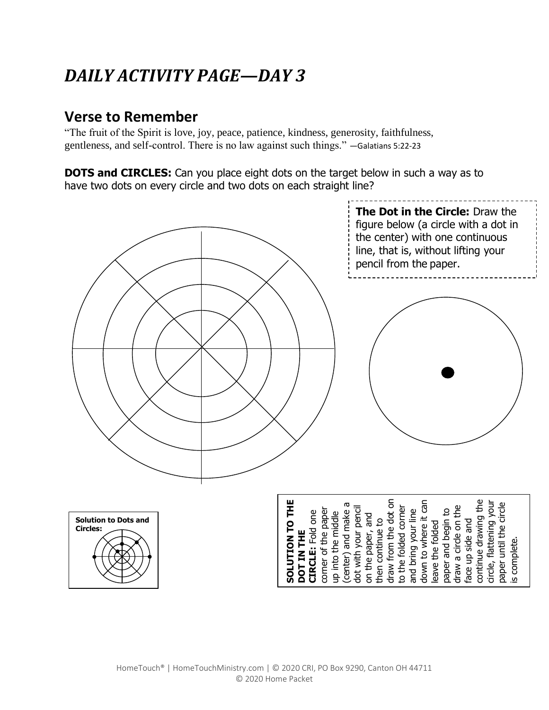## **Verse to Remember**

"The fruit of the Spirit is love, joy, peace, patience, kindness, generosity, faithfulness, gentleness, and self-control. There is no law against such things." —Galatians 5:22-23

**DOTS and CIRCLES:** Can you place eight dots on the target below in such a way as to have two dots on every circle and two dots on each straight line?

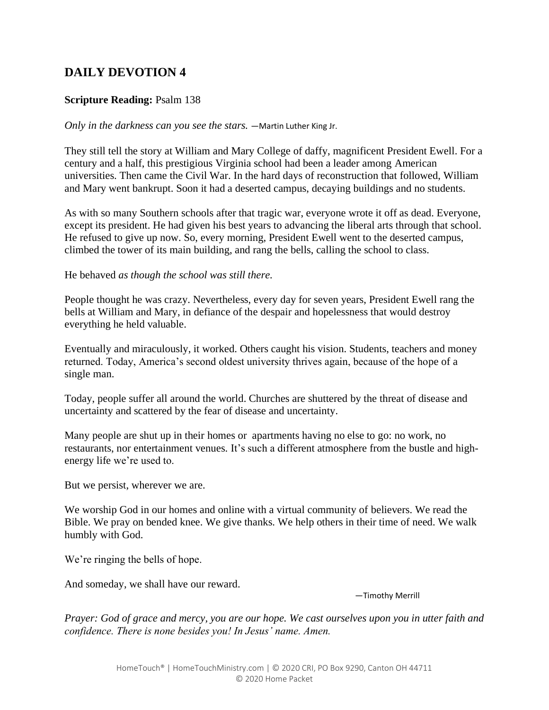#### **Scripture Reading:** Psalm 138

*Only in the darkness can you see the stars.* —Martin Luther King Jr.

They still tell the story at William and Mary College of daffy, magnificent President Ewell. For a century and a half, this prestigious Virginia school had been a leader among American universities. Then came the Civil War. In the hard days of reconstruction that followed, William and Mary went bankrupt. Soon it had a deserted campus, decaying buildings and no students.

As with so many Southern schools after that tragic war, everyone wrote it off as dead. Everyone, except its president. He had given his best years to advancing the liberal arts through that school. He refused to give up now. So, every morning, President Ewell went to the deserted campus, climbed the tower of its main building, and rang the bells, calling the school to class.

He behaved *as though the school was still there.*

People thought he was crazy. Nevertheless, every day for seven years, President Ewell rang the bells at William and Mary, in defiance of the despair and hopelessness that would destroy everything he held valuable.

Eventually and miraculously, it worked. Others caught his vision. Students, teachers and money returned. Today, America's second oldest university thrives again, because of the hope of a single man.

Today, people suffer all around the world. Churches are shuttered by the threat of disease and uncertainty and scattered by the fear of disease and uncertainty.

Many people are shut up in their homes or apartments having no else to go: no work, no restaurants, nor entertainment venues. It's such a different atmosphere from the bustle and highenergy life we're used to.

But we persist, wherever we are.

We worship God in our homes and online with a virtual community of believers. We read the Bible. We pray on bended knee. We give thanks. We help others in their time of need. We walk humbly with God.

We're ringing the bells of hope.

And someday, we shall have our reward.

—Timothy Merrill

*Prayer: God of grace and mercy, you are our hope. We cast ourselves upon you in utter faith and confidence. There is none besides you! In Jesus' name. Amen.*